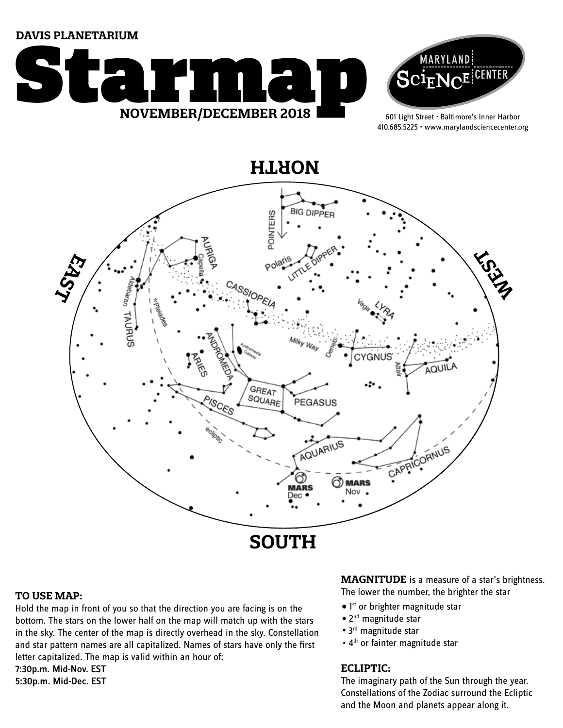**DAVIS PLANETARIUM**





601 Light Street • Baltimore's Inner Harbor 410.685.5225 • www.marylandsciencecenter.org



# **TO USE MAP:**

Hold the map in front of you so that the direction you are facing is on the bottom. The stars on the lower half on the map will match up with the stars in the sky. The center of the map is directly overhead in the sky. Constellation and star pattern names are all capitalized. Names of stars have only the first letter capitalized. The map is valid within an hour of:

7:30p.m. Mid-Nov. EST 5:30p.m. Mid-Dec. EST

# **MAGNITUDE** is a measure of a star's brightness. The lower the number, the brighter the star

- 1<sup>st</sup> or brighter magnitude star
- 2<sup>nd</sup> magnitude star
- 3<sup>rd</sup> magnitude star
- 4<sup>th</sup> or fainter magnitude star

# **ECLIPTIC:**

The imaginary path of the Sun through the year. Constellations of the Zodiac surround the Ecliptic and the Moon and planets appear along it.